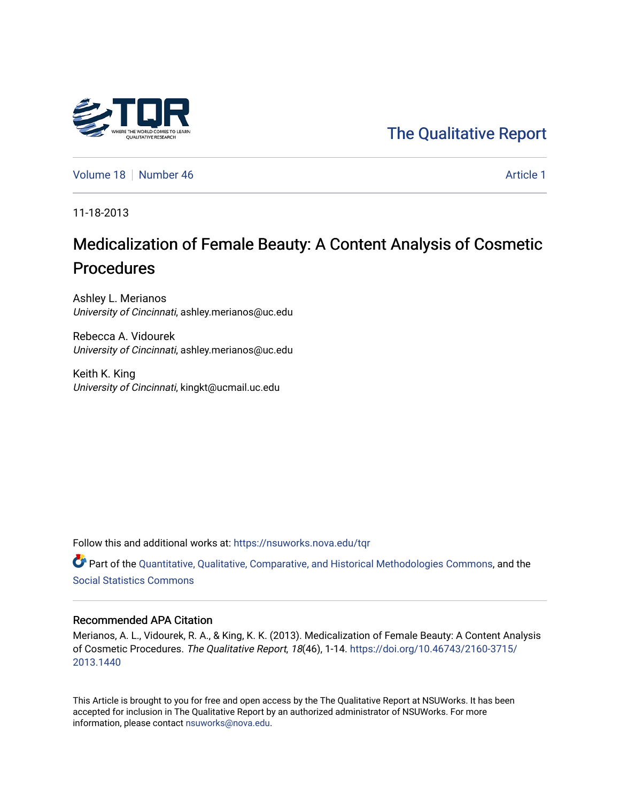## [The Qualitative Report](https://nsuworks.nova.edu/tqr)

[Volume 18](https://nsuworks.nova.edu/tqr/vol18) [Number 46](https://nsuworks.nova.edu/tqr/vol18/iss46) [Article 1](https://nsuworks.nova.edu/tqr/vol18/iss46/1) Number 46

11-18-2013

# Medicalization of Female Beauty: A Content Analysis of Cosmetic Procedures

Ashley L. Merianos University of Cincinnati, ashley.merianos@uc.edu

Rebecca A. Vidourek University of Cincinnati, ashley.merianos@uc.edu

Keith K. King University of Cincinnati, kingkt@ucmail.uc.edu

Follow this and additional works at: [https://nsuworks.nova.edu/tqr](https://nsuworks.nova.edu/tqr?utm_source=nsuworks.nova.edu%2Ftqr%2Fvol18%2Fiss46%2F1&utm_medium=PDF&utm_campaign=PDFCoverPages) 

Part of the [Quantitative, Qualitative, Comparative, and Historical Methodologies Commons,](http://network.bepress.com/hgg/discipline/423?utm_source=nsuworks.nova.edu%2Ftqr%2Fvol18%2Fiss46%2F1&utm_medium=PDF&utm_campaign=PDFCoverPages) and the [Social Statistics Commons](http://network.bepress.com/hgg/discipline/1275?utm_source=nsuworks.nova.edu%2Ftqr%2Fvol18%2Fiss46%2F1&utm_medium=PDF&utm_campaign=PDFCoverPages) 

#### Recommended APA Citation

Merianos, A. L., Vidourek, R. A., & King, K. K. (2013). Medicalization of Female Beauty: A Content Analysis of Cosmetic Procedures. The Qualitative Report, 18(46), 1-14. [https://doi.org/10.46743/2160-3715/](https://doi.org/10.46743/2160-3715/2013.1440) [2013.1440](https://doi.org/10.46743/2160-3715/2013.1440) 

This Article is brought to you for free and open access by the The Qualitative Report at NSUWorks. It has been accepted for inclusion in The Qualitative Report by an authorized administrator of NSUWorks. For more information, please contact [nsuworks@nova.edu.](mailto:nsuworks@nova.edu)

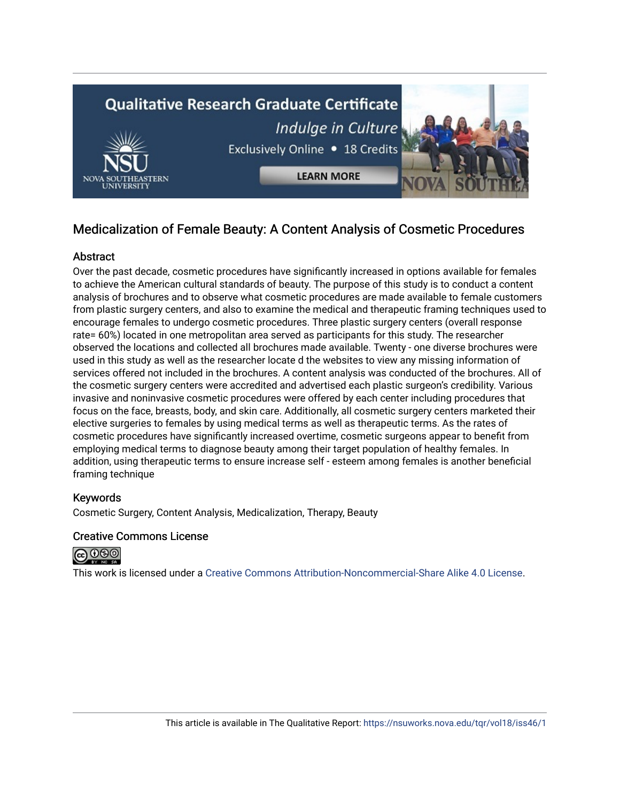

## Medicalization of Female Beauty: A Content Analysis of Cosmetic Procedures

## **Abstract**

Over the past decade, cosmetic procedures have significantly increased in options available for females to achieve the American cultural standards of beauty. The purpose of this study is to conduct a content analysis of brochures and to observe what cosmetic procedures are made available to female customers from plastic surgery centers, and also to examine the medical and therapeutic framing techniques used to encourage females to undergo cosmetic procedures. Three plastic surgery centers (overall response rate= 60%) located in one metropolitan area served as participants for this study. The researcher observed the locations and collected all brochures made available. Twenty - one diverse brochures were used in this study as well as the researcher locate d the websites to view any missing information of services offered not included in the brochures. A content analysis was conducted of the brochures. All of the cosmetic surgery centers were accredited and advertised each plastic surgeon's credibility. Various invasive and noninvasive cosmetic procedures were offered by each center including procedures that focus on the face, breasts, body, and skin care. Additionally, all cosmetic surgery centers marketed their elective surgeries to females by using medical terms as well as therapeutic terms. As the rates of cosmetic procedures have significantly increased overtime, cosmetic surgeons appear to benefit from employing medical terms to diagnose beauty among their target population of healthy females. In addition, using therapeutic terms to ensure increase self - esteem among females is another beneficial framing technique

## Keywords

Cosmetic Surgery, Content Analysis, Medicalization, Therapy, Beauty

## Creative Commons License



This work is licensed under a [Creative Commons Attribution-Noncommercial-Share Alike 4.0 License](https://creativecommons.org/licenses/by-nc-sa/4.0/).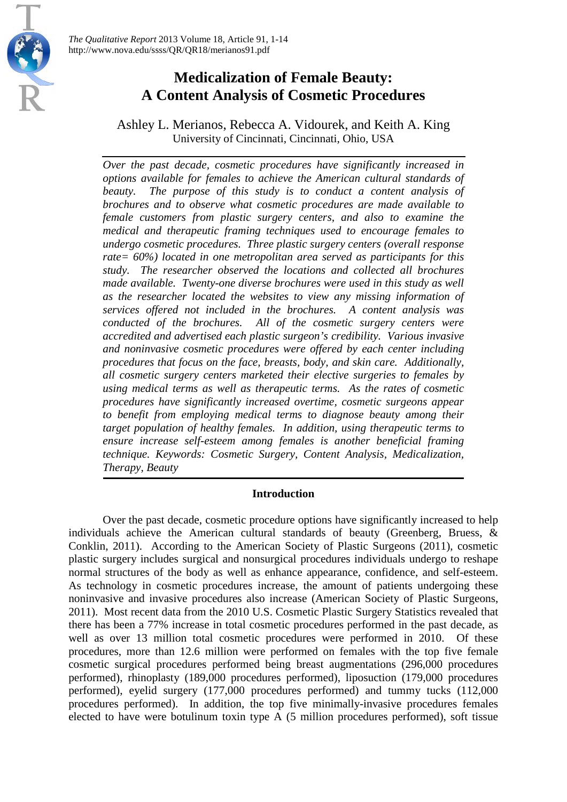

Ashley L. Merianos, Rebecca A. Vidourek, and Keith A. King University of Cincinnati, Cincinnati, Ohio, USA

*Over the past decade, cosmetic procedures have significantly increased in options available for females to achieve the American cultural standards of beauty. The purpose of this study is to conduct a content analysis of brochures and to observe what cosmetic procedures are made available to female customers from plastic surgery centers, and also to examine the medical and therapeutic framing techniques used to encourage females to undergo cosmetic procedures. Three plastic surgery centers (overall response rate= 60%) located in one metropolitan area served as participants for this study. The researcher observed the locations and collected all brochures made available. Twenty-one diverse brochures were used in this study as well as the researcher located the websites to view any missing information of services offered not included in the brochures. A content analysis was conducted of the brochures. All of the cosmetic surgery centers were accredited and advertised each plastic surgeon's credibility. Various invasive and noninvasive cosmetic procedures were offered by each center including procedures that focus on the face, breasts, body, and skin care. Additionally, all cosmetic surgery centers marketed their elective surgeries to females by using medical terms as well as therapeutic terms. As the rates of cosmetic procedures have significantly increased overtime, cosmetic surgeons appear to benefit from employing medical terms to diagnose beauty among their target population of healthy females. In addition, using therapeutic terms to ensure increase self-esteem among females is another beneficial framing technique. Keywords: Cosmetic Surgery, Content Analysis, Medicalization, Therapy, Beauty*

## **Introduction**

Over the past decade, cosmetic procedure options have significantly increased to help individuals achieve the American cultural standards of beauty (Greenberg, Bruess, & Conklin, 2011). According to the American Society of Plastic Surgeons (2011), cosmetic plastic surgery includes surgical and nonsurgical procedures individuals undergo to reshape normal structures of the body as well as enhance appearance, confidence, and self-esteem. As technology in cosmetic procedures increase, the amount of patients undergoing these noninvasive and invasive procedures also increase (American Society of Plastic Surgeons, 2011). Most recent data from the 2010 U.S. Cosmetic Plastic Surgery Statistics revealed that there has been a 77% increase in total cosmetic procedures performed in the past decade, as well as over 13 million total cosmetic procedures were performed in 2010. Of these procedures, more than 12.6 million were performed on females with the top five female cosmetic surgical procedures performed being breast augmentations (296,000 procedures performed), rhinoplasty (189,000 procedures performed), liposuction (179,000 procedures performed), eyelid surgery (177,000 procedures performed) and tummy tucks (112,000 procedures performed). In addition, the top five minimally-invasive procedures females elected to have were botulinum toxin type A (5 million procedures performed), soft tissue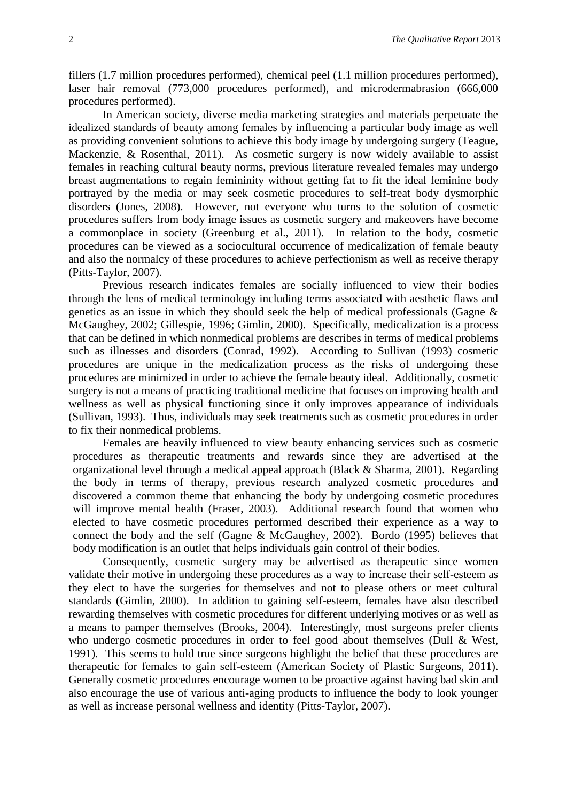fillers (1.7 million procedures performed), chemical peel (1.1 million procedures performed), laser hair removal (773,000 procedures performed), and microdermabrasion (666,000 procedures performed).

In American society, diverse media marketing strategies and materials perpetuate the idealized standards of beauty among females by influencing a particular body image as well as providing convenient solutions to achieve this body image by undergoing surgery (Teague, Mackenzie, & Rosenthal, 2011). As cosmetic surgery is now widely available to assist females in reaching cultural beauty norms, previous literature revealed females may undergo breast augmentations to regain femininity without getting fat to fit the ideal feminine body portrayed by the media or may seek cosmetic procedures to self-treat body dysmorphic disorders (Jones, 2008). However, not everyone who turns to the solution of cosmetic procedures suffers from body image issues as cosmetic surgery and makeovers have become a commonplace in society (Greenburg et al., 2011). In relation to the body, cosmetic procedures can be viewed as a sociocultural occurrence of medicalization of female beauty and also the normalcy of these procedures to achieve perfectionism as well as receive therapy (Pitts-Taylor, 2007).

Previous research indicates females are socially influenced to view their bodies through the lens of medical terminology including terms associated with aesthetic flaws and genetics as an issue in which they should seek the help of medical professionals (Gagne & McGaughey, 2002; Gillespie, 1996; Gimlin, 2000). Specifically, medicalization is a process that can be defined in which nonmedical problems are describes in terms of medical problems such as illnesses and disorders (Conrad, 1992). According to Sullivan (1993) cosmetic procedures are unique in the medicalization process as the risks of undergoing these procedures are minimized in order to achieve the female beauty ideal. Additionally, cosmetic surgery is not a means of practicing traditional medicine that focuses on improving health and wellness as well as physical functioning since it only improves appearance of individuals (Sullivan, 1993). Thus, individuals may seek treatments such as cosmetic procedures in order to fix their nonmedical problems.

Females are heavily influenced to view beauty enhancing services such as cosmetic procedures as therapeutic treatments and rewards since they are advertised at the organizational level through a medical appeal approach (Black & Sharma, 2001). Regarding the body in terms of therapy, previous research analyzed cosmetic procedures and discovered a common theme that enhancing the body by undergoing cosmetic procedures will improve mental health (Fraser, 2003). Additional research found that women who elected to have cosmetic procedures performed described their experience as a way to connect the body and the self (Gagne & McGaughey, 2002). Bordo (1995) believes that body modification is an outlet that helps individuals gain control of their bodies.

Consequently, cosmetic surgery may be advertised as therapeutic since women validate their motive in undergoing these procedures as a way to increase their self-esteem as they elect to have the surgeries for themselves and not to please others or meet cultural standards (Gimlin, 2000). In addition to gaining self-esteem, females have also described rewarding themselves with cosmetic procedures for different underlying motives or as well as a means to pamper themselves (Brooks, 2004). Interestingly, most surgeons prefer clients who undergo cosmetic procedures in order to feel good about themselves (Dull & West, 1991). This seems to hold true since surgeons highlight the belief that these procedures are therapeutic for females to gain self-esteem (American Society of Plastic Surgeons, 2011). Generally cosmetic procedures encourage women to be proactive against having bad skin and also encourage the use of various anti-aging products to influence the body to look younger as well as increase personal wellness and identity (Pitts-Taylor, 2007).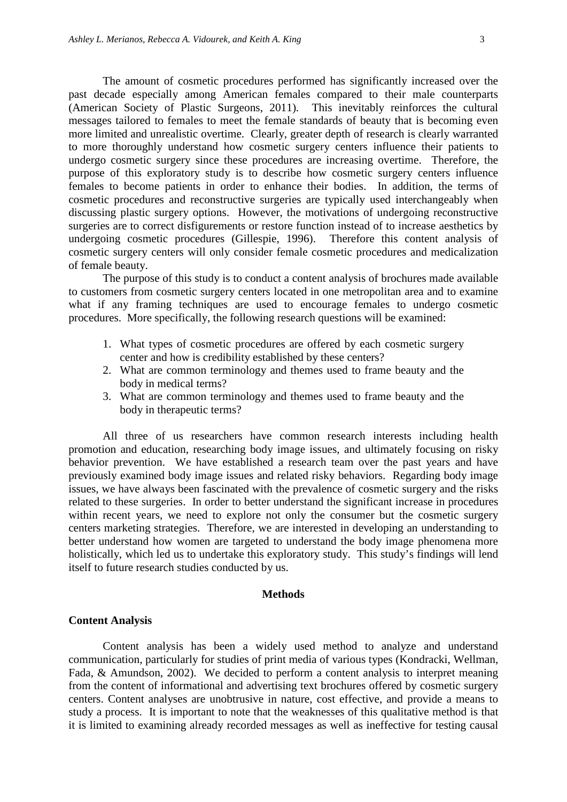The amount of cosmetic procedures performed has significantly increased over the past decade especially among American females compared to their male counterparts (American Society of Plastic Surgeons, 2011). This inevitably reinforces the cultural messages tailored to females to meet the female standards of beauty that is becoming even more limited and unrealistic overtime. Clearly, greater depth of research is clearly warranted to more thoroughly understand how cosmetic surgery centers influence their patients to undergo cosmetic surgery since these procedures are increasing overtime. Therefore, the purpose of this exploratory study is to describe how cosmetic surgery centers influence females to become patients in order to enhance their bodies. In addition, the terms of cosmetic procedures and reconstructive surgeries are typically used interchangeably when discussing plastic surgery options. However, the motivations of undergoing reconstructive surgeries are to correct disfigurements or restore function instead of to increase aesthetics by undergoing cosmetic procedures (Gillespie, 1996). Therefore this content analysis of cosmetic surgery centers will only consider female cosmetic procedures and medicalization of female beauty.

The purpose of this study is to conduct a content analysis of brochures made available to customers from cosmetic surgery centers located in one metropolitan area and to examine what if any framing techniques are used to encourage females to undergo cosmetic procedures. More specifically, the following research questions will be examined:

- 1. What types of cosmetic procedures are offered by each cosmetic surgery center and how is credibility established by these centers?
- 2. What are common terminology and themes used to frame beauty and the body in medical terms?
- 3. What are common terminology and themes used to frame beauty and the body in therapeutic terms?

All three of us researchers have common research interests including health promotion and education, researching body image issues, and ultimately focusing on risky behavior prevention. We have established a research team over the past years and have previously examined body image issues and related risky behaviors. Regarding body image issues, we have always been fascinated with the prevalence of cosmetic surgery and the risks related to these surgeries. In order to better understand the significant increase in procedures within recent years, we need to explore not only the consumer but the cosmetic surgery centers marketing strategies. Therefore, we are interested in developing an understanding to better understand how women are targeted to understand the body image phenomena more holistically, which led us to undertake this exploratory study. This study's findings will lend itself to future research studies conducted by us.

#### **Methods**

#### **Content Analysis**

Content analysis has been a widely used method to analyze and understand communication, particularly for studies of print media of various types (Kondracki, Wellman, Fada, & Amundson, 2002). We decided to perform a content analysis to interpret meaning from the content of informational and advertising text brochures offered by cosmetic surgery centers. Content analyses are unobtrusive in nature, cost effective, and provide a means to study a process. It is important to note that the weaknesses of this qualitative method is that it is limited to examining already recorded messages as well as ineffective for testing causal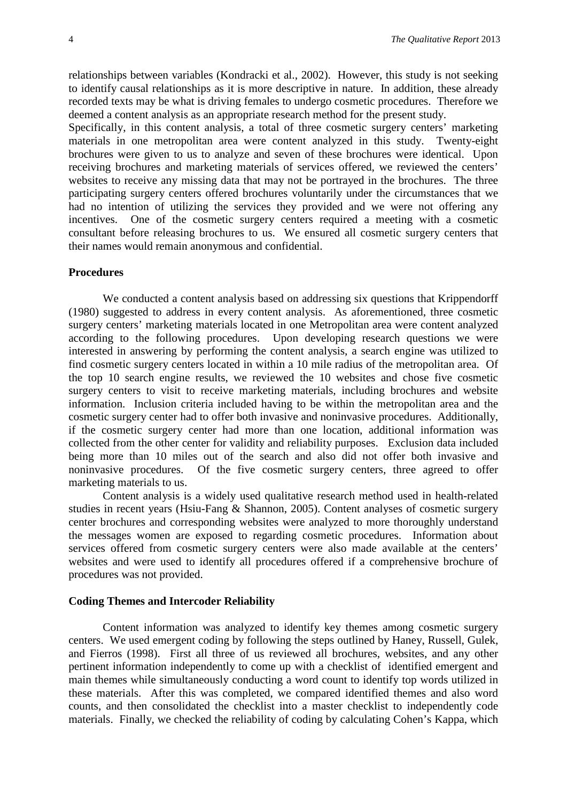relationships between variables (Kondracki et al., 2002). However, this study is not seeking to identify causal relationships as it is more descriptive in nature. In addition, these already recorded texts may be what is driving females to undergo cosmetic procedures. Therefore we deemed a content analysis as an appropriate research method for the present study.

Specifically, in this content analysis, a total of three cosmetic surgery centers' marketing materials in one metropolitan area were content analyzed in this study. Twenty-eight brochures were given to us to analyze and seven of these brochures were identical. Upon receiving brochures and marketing materials of services offered, we reviewed the centers' websites to receive any missing data that may not be portrayed in the brochures. The three participating surgery centers offered brochures voluntarily under the circumstances that we had no intention of utilizing the services they provided and we were not offering any incentives. One of the cosmetic surgery centers required a meeting with a cosmetic consultant before releasing brochures to us. We ensured all cosmetic surgery centers that their names would remain anonymous and confidential.

#### **Procedures**

We conducted a content analysis based on addressing six questions that Krippendorff (1980) suggested to address in every content analysis. As aforementioned, three cosmetic surgery centers' marketing materials located in one Metropolitan area were content analyzed according to the following procedures. Upon developing research questions we were interested in answering by performing the content analysis, a search engine was utilized to find cosmetic surgery centers located in within a 10 mile radius of the metropolitan area. Of the top 10 search engine results, we reviewed the 10 websites and chose five cosmetic surgery centers to visit to receive marketing materials, including brochures and website information. Inclusion criteria included having to be within the metropolitan area and the cosmetic surgery center had to offer both invasive and noninvasive procedures. Additionally, if the cosmetic surgery center had more than one location, additional information was collected from the other center for validity and reliability purposes. Exclusion data included being more than 10 miles out of the search and also did not offer both invasive and noninvasive procedures. Of the five cosmetic surgery centers, three agreed to offer marketing materials to us.

Content analysis is a widely used qualitative research method used in health-related studies in recent years (Hsiu-Fang & Shannon, 2005). Content analyses of cosmetic surgery center brochures and corresponding websites were analyzed to more thoroughly understand the messages women are exposed to regarding cosmetic procedures. Information about services offered from cosmetic surgery centers were also made available at the centers' websites and were used to identify all procedures offered if a comprehensive brochure of procedures was not provided.

#### **Coding Themes and Intercoder Reliability**

Content information was analyzed to identify key themes among cosmetic surgery centers. We used emergent coding by following the steps outlined by Haney, Russell, Gulek, and Fierros (1998). First all three of us reviewed all brochures, websites, and any other pertinent information independently to come up with a checklist of identified emergent and main themes while simultaneously conducting a word count to identify top words utilized in these materials. After this was completed, we compared identified themes and also word counts, and then consolidated the checklist into a master checklist to independently code materials. Finally, we checked the reliability of coding by calculating Cohen's Kappa, which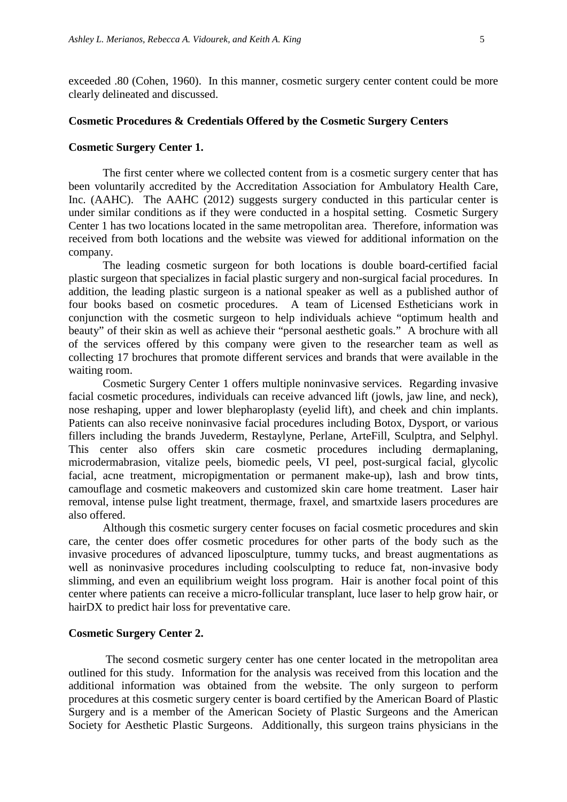exceeded .80 (Cohen, 1960). In this manner, cosmetic surgery center content could be more clearly delineated and discussed.

#### **Cosmetic Procedures & Credentials Offered by the Cosmetic Surgery Centers**

#### **Cosmetic Surgery Center 1.**

The first center where we collected content from is a cosmetic surgery center that has been voluntarily accredited by the Accreditation Association for Ambulatory Health Care, Inc. (AAHC). The AAHC (2012) suggests surgery conducted in this particular center is under similar conditions as if they were conducted in a hospital setting. Cosmetic Surgery Center 1 has two locations located in the same metropolitan area. Therefore, information was received from both locations and the website was viewed for additional information on the company.

The leading cosmetic surgeon for both locations is double board-certified facial plastic surgeon that specializes in facial plastic surgery and non-surgical facial procedures. In addition, the leading plastic surgeon is a national speaker as well as a published author of four books based on cosmetic procedures. A team of Licensed Estheticians work in conjunction with the cosmetic surgeon to help individuals achieve "optimum health and beauty" of their skin as well as achieve their "personal aesthetic goals." A brochure with all of the services offered by this company were given to the researcher team as well as collecting 17 brochures that promote different services and brands that were available in the waiting room.

Cosmetic Surgery Center 1 offers multiple noninvasive services. Regarding invasive facial cosmetic procedures, individuals can receive advanced lift (jowls, jaw line, and neck), nose reshaping, upper and lower blepharoplasty (eyelid lift), and cheek and chin implants. Patients can also receive noninvasive facial procedures including Botox, Dysport, or various fillers including the brands Juvederm, Restaylyne, Perlane, ArteFill, Sculptra, and Selphyl. This center also offers skin care cosmetic procedures including dermaplaning, microdermabrasion, vitalize peels, biomedic peels, VI peel, post-surgical facial, glycolic facial, acne treatment, micropigmentation or permanent make-up), lash and brow tints, camouflage and cosmetic makeovers and customized skin care home treatment. Laser hair removal, intense pulse light treatment, thermage, fraxel, and smartxide lasers procedures are also offered.

Although this cosmetic surgery center focuses on facial cosmetic procedures and skin care, the center does offer cosmetic procedures for other parts of the body such as the invasive procedures of advanced liposculpture, tummy tucks, and breast augmentations as well as noninvasive procedures including coolsculpting to reduce fat, non-invasive body slimming, and even an equilibrium weight loss program. Hair is another focal point of this center where patients can receive a micro-follicular transplant, luce laser to help grow hair, or hairDX to predict hair loss for preventative care.

#### **Cosmetic Surgery Center 2.**

The second cosmetic surgery center has one center located in the metropolitan area outlined for this study. Information for the analysis was received from this location and the additional information was obtained from the website. The only surgeon to perform procedures at this cosmetic surgery center is board certified by the American Board of Plastic Surgery and is a member of the American Society of Plastic Surgeons and the American Society for Aesthetic Plastic Surgeons. Additionally, this surgeon trains physicians in the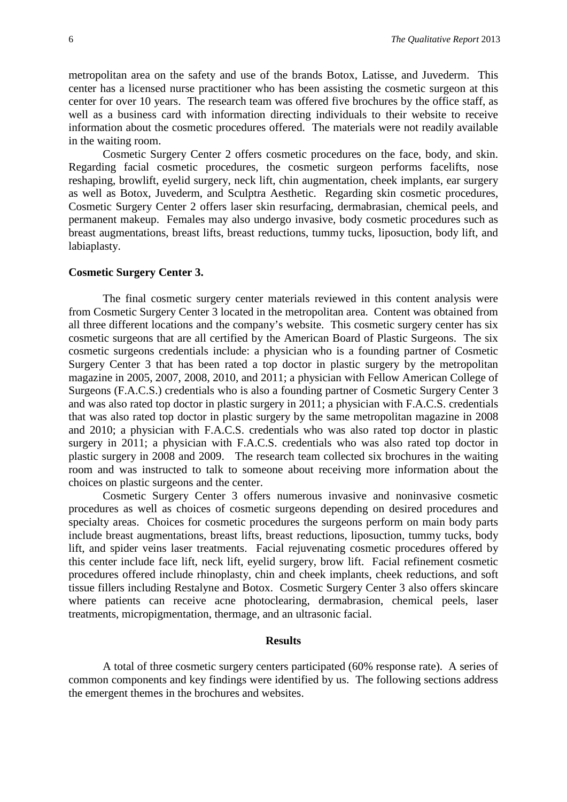metropolitan area on the safety and use of the brands Botox, Latisse, and Juvederm. This center has a licensed nurse practitioner who has been assisting the cosmetic surgeon at this center for over 10 years. The research team was offered five brochures by the office staff, as well as a business card with information directing individuals to their website to receive information about the cosmetic procedures offered. The materials were not readily available in the waiting room.

Cosmetic Surgery Center 2 offers cosmetic procedures on the face, body, and skin. Regarding facial cosmetic procedures, the cosmetic surgeon performs facelifts, nose reshaping, browlift, eyelid surgery, neck lift, chin augmentation, cheek implants, ear surgery as well as Botox, Juvederm, and Sculptra Aesthetic. Regarding skin cosmetic procedures, Cosmetic Surgery Center 2 offers laser skin resurfacing, dermabrasian, chemical peels, and permanent makeup. Females may also undergo invasive, body cosmetic procedures such as breast augmentations, breast lifts, breast reductions, tummy tucks, liposuction, body lift, and labiaplasty.

#### **Cosmetic Surgery Center 3.**

The final cosmetic surgery center materials reviewed in this content analysis were from Cosmetic Surgery Center 3 located in the metropolitan area. Content was obtained from all three different locations and the company's website. This cosmetic surgery center has six cosmetic surgeons that are all certified by the American Board of Plastic Surgeons. The six cosmetic surgeons credentials include: a physician who is a founding partner of Cosmetic Surgery Center 3 that has been rated a top doctor in plastic surgery by the metropolitan magazine in 2005, 2007, 2008, 2010, and 2011; a physician with Fellow American College of Surgeons (F.A.C.S.) credentials who is also a founding partner of Cosmetic Surgery Center 3 and was also rated top doctor in plastic surgery in 2011; a physician with F.A.C.S. credentials that was also rated top doctor in plastic surgery by the same metropolitan magazine in 2008 and 2010; a physician with F.A.C.S. credentials who was also rated top doctor in plastic surgery in 2011; a physician with F.A.C.S. credentials who was also rated top doctor in plastic surgery in 2008 and 2009. The research team collected six brochures in the waiting room and was instructed to talk to someone about receiving more information about the choices on plastic surgeons and the center.

Cosmetic Surgery Center 3 offers numerous invasive and noninvasive cosmetic procedures as well as choices of cosmetic surgeons depending on desired procedures and specialty areas. Choices for cosmetic procedures the surgeons perform on main body parts include breast augmentations, breast lifts, breast reductions, liposuction, tummy tucks, body lift, and spider veins laser treatments. Facial rejuvenating cosmetic procedures offered by this center include face lift, neck lift, eyelid surgery, brow lift. Facial refinement cosmetic procedures offered include rhinoplasty, chin and cheek implants, cheek reductions, and soft tissue fillers including Restalyne and Botox. Cosmetic Surgery Center 3 also offers skincare where patients can receive acne photoclearing, dermabrasion, chemical peels, laser treatments, micropigmentation, thermage, and an ultrasonic facial.

#### **Results**

A total of three cosmetic surgery centers participated (60% response rate). A series of common components and key findings were identified by us. The following sections address the emergent themes in the brochures and websites.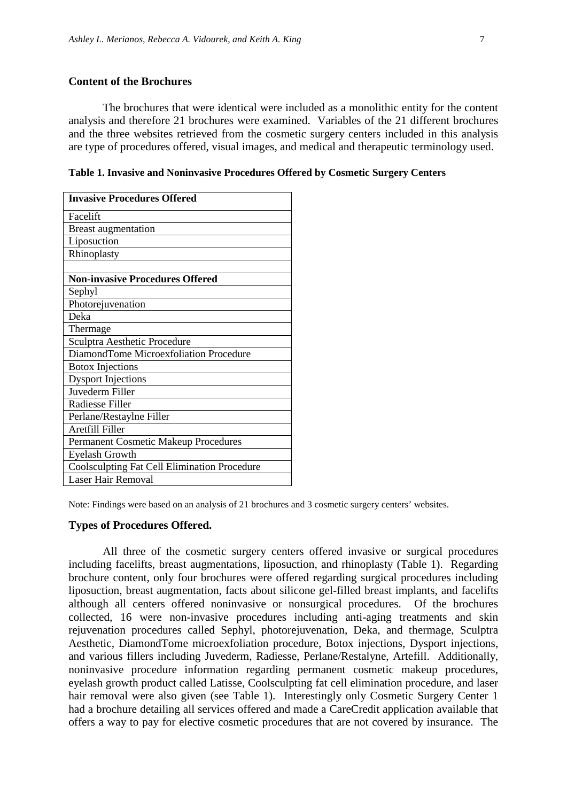### **Content of the Brochures**

 The brochures that were identical were included as a monolithic entity for the content analysis and therefore 21 brochures were examined. Variables of the 21 different brochures and the three websites retrieved from the cosmetic surgery centers included in this analysis are type of procedures offered, visual images, and medical and therapeutic terminology used.

**Table 1. Invasive and Noninvasive Procedures Offered by Cosmetic Surgery Centers**

| <b>Invasive Procedures Offered</b>                  |
|-----------------------------------------------------|
| Facelift                                            |
| <b>Breast augmentation</b>                          |
| Liposuction                                         |
| Rhinoplasty                                         |
|                                                     |
| <b>Non-invasive Procedures Offered</b>              |
| Sephyl                                              |
| Photorejuvenation                                   |
| Deka                                                |
| Thermage                                            |
| Sculptra Aesthetic Procedure                        |
| DiamondTome Microexfoliation Procedure              |
| <b>Botox Injections</b>                             |
| <b>Dysport Injections</b>                           |
| Juvederm Filler                                     |
| Radiesse Filler                                     |
| Perlane/Restaylne Filler                            |
| Aretfill Filler                                     |
| <b>Permanent Cosmetic Makeup Procedures</b>         |
| <b>Eyelash Growth</b>                               |
| <b>Coolsculpting Fat Cell Elimination Procedure</b> |
| Laser Hair Removal                                  |

Note: Findings were based on an analysis of 21 brochures and 3 cosmetic surgery centers' websites.

#### **Types of Procedures Offered.**

All three of the cosmetic surgery centers offered invasive or surgical procedures including facelifts, breast augmentations, liposuction, and rhinoplasty (Table 1). Regarding brochure content, only four brochures were offered regarding surgical procedures including liposuction, breast augmentation, facts about silicone gel-filled breast implants, and facelifts although all centers offered noninvasive or nonsurgical procedures. Of the brochures collected, 16 were non-invasive procedures including anti-aging treatments and skin rejuvenation procedures called Sephyl, photorejuvenation, Deka, and thermage, Sculptra Aesthetic, DiamondTome microexfoliation procedure, Botox injections, Dysport injections, and various fillers including Juvederm, Radiesse, Perlane/Restalyne, Artefill. Additionally, noninvasive procedure information regarding permanent cosmetic makeup procedures, eyelash growth product called Latisse, Coolsculpting fat cell elimination procedure, and laser hair removal were also given (see Table 1). Interestingly only Cosmetic Surgery Center 1 had a brochure detailing all services offered and made a CareCredit application available that offers a way to pay for elective cosmetic procedures that are not covered by insurance. The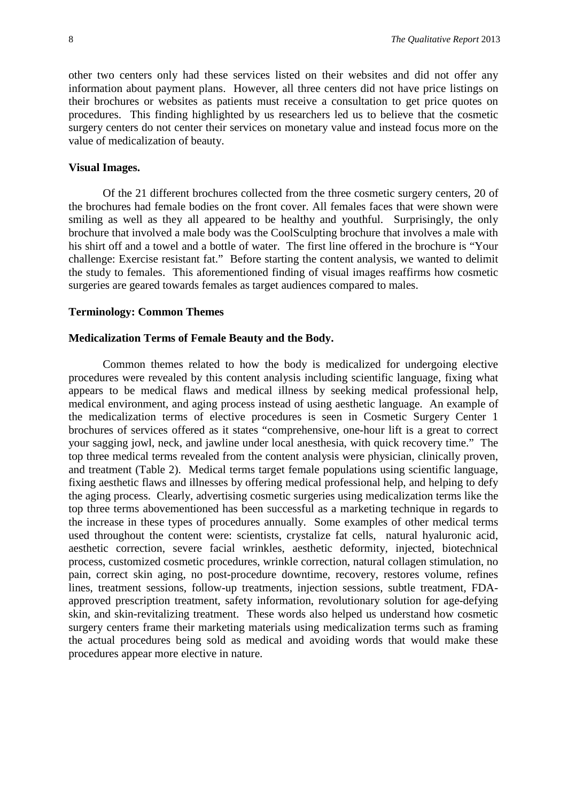other two centers only had these services listed on their websites and did not offer any information about payment plans. However, all three centers did not have price listings on their brochures or websites as patients must receive a consultation to get price quotes on procedures. This finding highlighted by us researchers led us to believe that the cosmetic surgery centers do not center their services on monetary value and instead focus more on the value of medicalization of beauty.

#### **Visual Images.**

Of the 21 different brochures collected from the three cosmetic surgery centers, 20 of the brochures had female bodies on the front cover. All females faces that were shown were smiling as well as they all appeared to be healthy and youthful. Surprisingly, the only brochure that involved a male body was the CoolSculpting brochure that involves a male with his shirt off and a towel and a bottle of water. The first line offered in the brochure is "Your challenge: Exercise resistant fat." Before starting the content analysis, we wanted to delimit the study to females. This aforementioned finding of visual images reaffirms how cosmetic surgeries are geared towards females as target audiences compared to males.

#### **Terminology: Common Themes**

### **Medicalization Terms of Female Beauty and the Body.**

Common themes related to how the body is medicalized for undergoing elective procedures were revealed by this content analysis including scientific language, fixing what appears to be medical flaws and medical illness by seeking medical professional help, medical environment, and aging process instead of using aesthetic language. An example of the medicalization terms of elective procedures is seen in Cosmetic Surgery Center 1 brochures of services offered as it states "comprehensive, one-hour lift is a great to correct your sagging jowl, neck, and jawline under local anesthesia, with quick recovery time." The top three medical terms revealed from the content analysis were physician, clinically proven, and treatment (Table 2). Medical terms target female populations using scientific language, fixing aesthetic flaws and illnesses by offering medical professional help, and helping to defy the aging process. Clearly, advertising cosmetic surgeries using medicalization terms like the top three terms abovementioned has been successful as a marketing technique in regards to the increase in these types of procedures annually. Some examples of other medical terms used throughout the content were: scientists, crystalize fat cells, natural hyaluronic acid, aesthetic correction, severe facial wrinkles, aesthetic deformity, injected, biotechnical process, customized cosmetic procedures, wrinkle correction, natural collagen stimulation, no pain, correct skin aging, no post-procedure downtime, recovery, restores volume, refines lines, treatment sessions, follow-up treatments, injection sessions, subtle treatment, FDAapproved prescription treatment, safety information, revolutionary solution for age-defying skin, and skin-revitalizing treatment. These words also helped us understand how cosmetic surgery centers frame their marketing materials using medicalization terms such as framing the actual procedures being sold as medical and avoiding words that would make these procedures appear more elective in nature.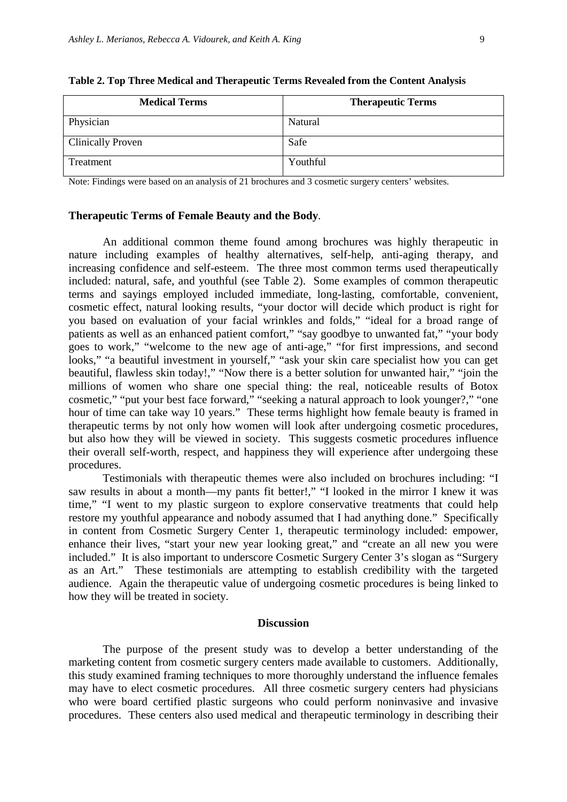| <b>Medical Terms</b>     | <b>Therapeutic Terms</b> |
|--------------------------|--------------------------|
| Physician                | Natural                  |
| <b>Clinically Proven</b> | Safe                     |
| Treatment                | Youthful                 |

|  |  | Table 2. Top Three Medical and Therapeutic Terms Revealed from the Content Analysis |  |  |  |
|--|--|-------------------------------------------------------------------------------------|--|--|--|
|  |  |                                                                                     |  |  |  |

Note: Findings were based on an analysis of 21 brochures and 3 cosmetic surgery centers' websites.

#### **Therapeutic Terms of Female Beauty and the Body***.*

An additional common theme found among brochures was highly therapeutic in nature including examples of healthy alternatives, self-help, anti-aging therapy, and increasing confidence and self-esteem. The three most common terms used therapeutically included: natural, safe, and youthful (see Table 2). Some examples of common therapeutic terms and sayings employed included immediate, long-lasting, comfortable, convenient, cosmetic effect, natural looking results, "your doctor will decide which product is right for you based on evaluation of your facial wrinkles and folds," "ideal for a broad range of patients as well as an enhanced patient comfort," "say goodbye to unwanted fat," "your body goes to work," "welcome to the new age of anti-age," "for first impressions, and second looks," "a beautiful investment in yourself," "ask your skin care specialist how you can get beautiful, flawless skin today!," "Now there is a better solution for unwanted hair," "join the millions of women who share one special thing: the real, noticeable results of Botox cosmetic," "put your best face forward," "seeking a natural approach to look younger?," "one hour of time can take way 10 years." These terms highlight how female beauty is framed in therapeutic terms by not only how women will look after undergoing cosmetic procedures, but also how they will be viewed in society. This suggests cosmetic procedures influence their overall self-worth, respect, and happiness they will experience after undergoing these procedures.

Testimonials with therapeutic themes were also included on brochures including: "I saw results in about a month—my pants fit better!," "I looked in the mirror I knew it was time," "I went to my plastic surgeon to explore conservative treatments that could help restore my youthful appearance and nobody assumed that I had anything done." Specifically in content from Cosmetic Surgery Center 1, therapeutic terminology included: empower, enhance their lives, "start your new year looking great," and "create an all new you were included." It is also important to underscore Cosmetic Surgery Center 3's slogan as "Surgery as an Art." These testimonials are attempting to establish credibility with the targeted audience. Again the therapeutic value of undergoing cosmetic procedures is being linked to how they will be treated in society.

#### **Discussion**

The purpose of the present study was to develop a better understanding of the marketing content from cosmetic surgery centers made available to customers. Additionally, this study examined framing techniques to more thoroughly understand the influence females may have to elect cosmetic procedures. All three cosmetic surgery centers had physicians who were board certified plastic surgeons who could perform noninvasive and invasive procedures. These centers also used medical and therapeutic terminology in describing their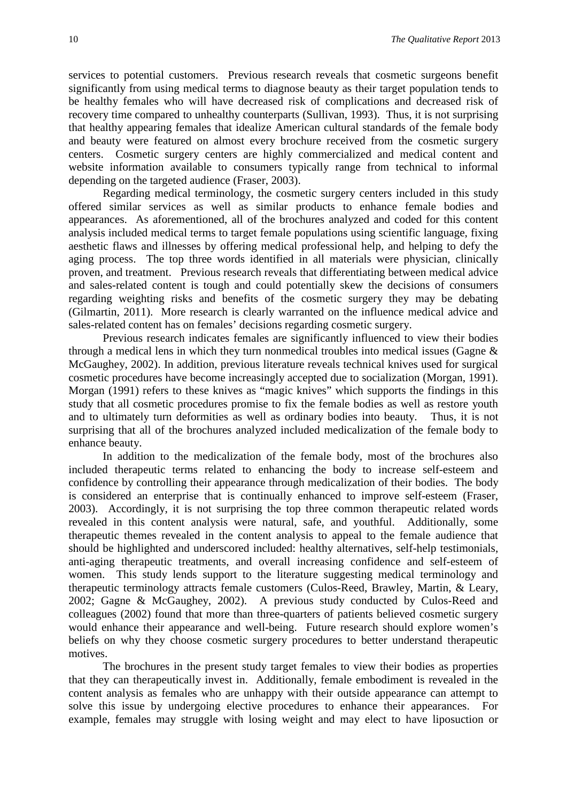services to potential customers. Previous research reveals that cosmetic surgeons benefit significantly from using medical terms to diagnose beauty as their target population tends to be healthy females who will have decreased risk of complications and decreased risk of recovery time compared to unhealthy counterparts (Sullivan, 1993). Thus, it is not surprising that healthy appearing females that idealize American cultural standards of the female body and beauty were featured on almost every brochure received from the cosmetic surgery centers. Cosmetic surgery centers are highly commercialized and medical content and website information available to consumers typically range from technical to informal depending on the targeted audience (Fraser, 2003).

Regarding medical terminology, the cosmetic surgery centers included in this study offered similar services as well as similar products to enhance female bodies and appearances. As aforementioned, all of the brochures analyzed and coded for this content analysis included medical terms to target female populations using scientific language, fixing aesthetic flaws and illnesses by offering medical professional help, and helping to defy the aging process. The top three words identified in all materials were physician, clinically proven, and treatment. Previous research reveals that differentiating between medical advice and sales-related content is tough and could potentially skew the decisions of consumers regarding weighting risks and benefits of the cosmetic surgery they may be debating (Gilmartin, 2011). More research is clearly warranted on the influence medical advice and sales-related content has on females' decisions regarding cosmetic surgery.

Previous research indicates females are significantly influenced to view their bodies through a medical lens in which they turn nonmedical troubles into medical issues (Gagne & McGaughey, 2002). In addition, previous literature reveals technical knives used for surgical cosmetic procedures have become increasingly accepted due to socialization (Morgan, 1991). Morgan (1991) refers to these knives as "magic knives" which supports the findings in this study that all cosmetic procedures promise to fix the female bodies as well as restore youth and to ultimately turn deformities as well as ordinary bodies into beauty. Thus, it is not surprising that all of the brochures analyzed included medicalization of the female body to enhance beauty.

In addition to the medicalization of the female body, most of the brochures also included therapeutic terms related to enhancing the body to increase self-esteem and confidence by controlling their appearance through medicalization of their bodies. The body is considered an enterprise that is continually enhanced to improve self-esteem (Fraser, 2003). Accordingly, it is not surprising the top three common therapeutic related words revealed in this content analysis were natural, safe, and youthful. Additionally, some therapeutic themes revealed in the content analysis to appeal to the female audience that should be highlighted and underscored included: healthy alternatives, self-help testimonials, anti-aging therapeutic treatments, and overall increasing confidence and self-esteem of women. This study lends support to the literature suggesting medical terminology and therapeutic terminology attracts female customers (Culos-Reed, Brawley, Martin, & Leary, 2002; Gagne & McGaughey, 2002). A previous study conducted by Culos-Reed and colleagues (2002) found that more than three-quarters of patients believed cosmetic surgery would enhance their appearance and well-being. Future research should explore women's beliefs on why they choose cosmetic surgery procedures to better understand therapeutic motives.

The brochures in the present study target females to view their bodies as properties that they can therapeutically invest in. Additionally, female embodiment is revealed in the content analysis as females who are unhappy with their outside appearance can attempt to solve this issue by undergoing elective procedures to enhance their appearances. For example, females may struggle with losing weight and may elect to have liposuction or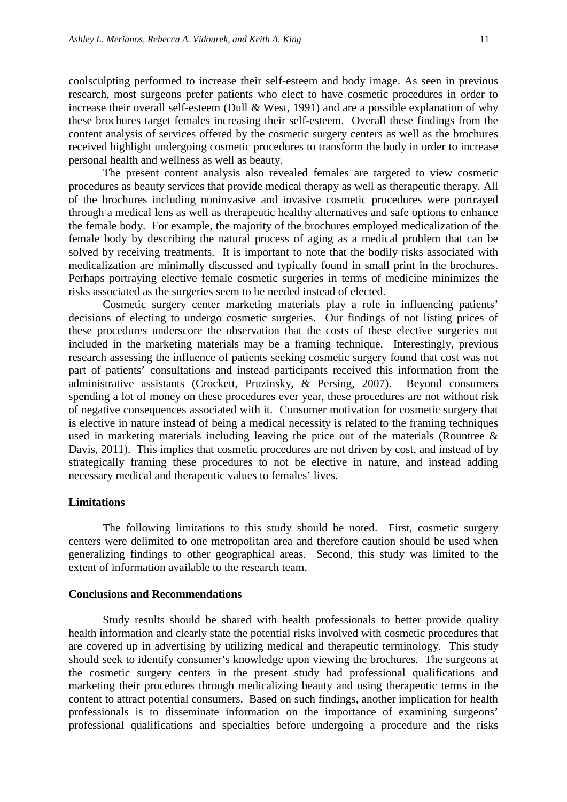coolsculpting performed to increase their self-esteem and body image. As seen in previous research, most surgeons prefer patients who elect to have cosmetic procedures in order to increase their overall self-esteem (Dull & West, 1991) and are a possible explanation of why these brochures target females increasing their self-esteem. Overall these findings from the content analysis of services offered by the cosmetic surgery centers as well as the brochures received highlight undergoing cosmetic procedures to transform the body in order to increase personal health and wellness as well as beauty.

The present content analysis also revealed females are targeted to view cosmetic procedures as beauty services that provide medical therapy as well as therapeutic therapy. All of the brochures including noninvasive and invasive cosmetic procedures were portrayed through a medical lens as well as therapeutic healthy alternatives and safe options to enhance the female body. For example, the majority of the brochures employed medicalization of the female body by describing the natural process of aging as a medical problem that can be solved by receiving treatments. It is important to note that the bodily risks associated with medicalization are minimally discussed and typically found in small print in the brochures. Perhaps portraying elective female cosmetic surgeries in terms of medicine minimizes the risks associated as the surgeries seem to be needed instead of elected.

Cosmetic surgery center marketing materials play a role in influencing patients' decisions of electing to undergo cosmetic surgeries. Our findings of not listing prices of these procedures underscore the observation that the costs of these elective surgeries not included in the marketing materials may be a framing technique. Interestingly, previous research assessing the influence of patients seeking cosmetic surgery found that cost was not part of patients' consultations and instead participants received this information from the administrative assistants (Crockett, Pruzinsky, & Persing, 2007). Beyond consumers spending a lot of money on these procedures ever year, these procedures are not without risk of negative consequences associated with it. Consumer motivation for cosmetic surgery that is elective in nature instead of being a medical necessity is related to the framing techniques used in marketing materials including leaving the price out of the materials (Rountree & Davis, 2011). This implies that cosmetic procedures are not driven by cost, and instead of by strategically framing these procedures to not be elective in nature, and instead adding necessary medical and therapeutic values to females' lives.

#### **Limitations**

The following limitations to this study should be noted. First, cosmetic surgery centers were delimited to one metropolitan area and therefore caution should be used when generalizing findings to other geographical areas. Second, this study was limited to the extent of information available to the research team.

#### **Conclusions and Recommendations**

Study results should be shared with health professionals to better provide quality health information and clearly state the potential risks involved with cosmetic procedures that are covered up in advertising by utilizing medical and therapeutic terminology. This study should seek to identify consumer's knowledge upon viewing the brochures. The surgeons at the cosmetic surgery centers in the present study had professional qualifications and marketing their procedures through medicalizing beauty and using therapeutic terms in the content to attract potential consumers. Based on such findings, another implication for health professionals is to disseminate information on the importance of examining surgeons' professional qualifications and specialties before undergoing a procedure and the risks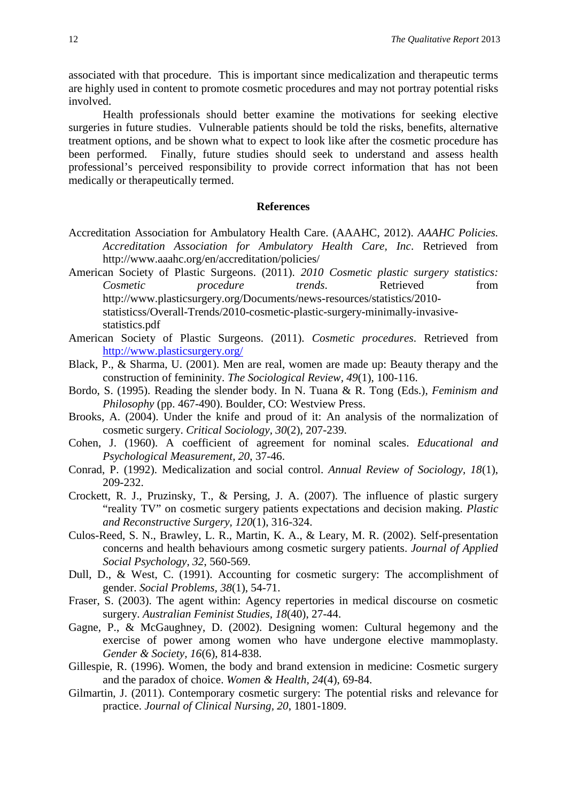associated with that procedure. This is important since medicalization and therapeutic terms are highly used in content to promote cosmetic procedures and may not portray potential risks involved.

Health professionals should better examine the motivations for seeking elective surgeries in future studies. Vulnerable patients should be told the risks, benefits, alternative treatment options, and be shown what to expect to look like after the cosmetic procedure has been performed. Finally, future studies should seek to understand and assess health professional's perceived responsibility to provide correct information that has not been medically or therapeutically termed.

#### **References**

- Accreditation Association for Ambulatory Health Care. (AAAHC, 2012). *AAAHC Policies. Accreditation Association for Ambulatory Health Care, Inc*. Retrieved from http://www.aaahc.org/en/accreditation/policies/
- American Society of Plastic Surgeons. (2011). *2010 Cosmetic plastic surgery statistics: Cosmetic procedure trends*. Retrieved from http://www.plasticsurgery.org/Documents/news-resources/statistics/2010 statisticss/Overall-Trends/2010-cosmetic-plastic-surgery-minimally-invasivestatistics.pdf
- American Society of Plastic Surgeons. (2011). *Cosmetic procedures*. Retrieved from <http://www.plasticsurgery.org/>
- Black, P., & Sharma, U. (2001). Men are real, women are made up: Beauty therapy and the construction of femininity. *The Sociological Review, 49*(1), 100-116.
- Bordo, S. (1995). Reading the slender body. In N. Tuana & R. Tong (Eds.), *Feminism and Philosophy* (pp. 467-490). Boulder, CO: Westview Press.
- Brooks, A. (2004). Under the knife and proud of it: An analysis of the normalization of cosmetic surgery. *Critical Sociology, 30*(2), 207-239.
- Cohen, J. (1960). A coefficient of agreement for nominal scales. *Educational and Psychological Measurement, 20*, 37-46.
- Conrad, P. (1992). Medicalization and social control. *Annual Review of Sociology, 18*(1), 209-232.
- Crockett, R. J., Pruzinsky, T., & Persing, J. A. (2007). The influence of plastic surgery "reality TV" on cosmetic surgery patients expectations and decision making. *Plastic and Reconstructive Surgery, 120*(1), 316-324.
- Culos-Reed, S. N., Brawley, L. R., Martin, K. A., & Leary, M. R. (2002). Self-presentation concerns and health behaviours among cosmetic surgery patients. *Journal of Applied Social Psychology, 32*, 560-569.
- Dull, D., & West, C. (1991). Accounting for cosmetic surgery: The accomplishment of gender. *Social Problems, 38*(1), 54-71.
- Fraser, S. (2003). The agent within: Agency repertories in medical discourse on cosmetic surgery. *Australian Feminist Studies, 18*(40), 27-44.
- Gagne, P., & McGaughney, D. (2002). Designing women: Cultural hegemony and the exercise of power among women who have undergone elective mammoplasty. *Gender & Society, 16*(6), 814-838.
- Gillespie, R. (1996). Women, the body and brand extension in medicine: Cosmetic surgery and the paradox of choice. *Women & Health, 24*(4), 69-84.
- Gilmartin, J. (2011). Contemporary cosmetic surgery: The potential risks and relevance for practice. *Journal of Clinical Nursing, 20*, 1801-1809.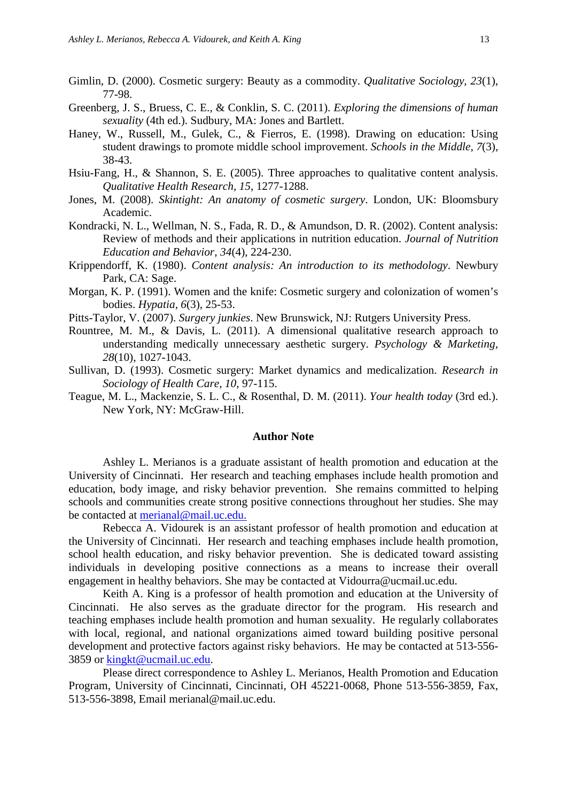- Gimlin, D. (2000). Cosmetic surgery: Beauty as a commodity. *Qualitative Sociology, 23*(1), 77-98.
- Greenberg, J. S., Bruess, C. E., & Conklin, S. C. (2011). *Exploring the dimensions of human sexuality* (4th ed.). Sudbury, MA: Jones and Bartlett.
- Haney, W., Russell, M., Gulek, C., & Fierros, E. (1998). Drawing on education: Using student drawings to promote middle school improvement. *Schools in the Middle, 7*(3), 38-43.
- Hsiu-Fang, H., & Shannon, S. E. (2005). Three approaches to qualitative content analysis. *Qualitative Health Research, 15*, 1277-1288.
- Jones, M. (2008). *Skintight: An anatomy of cosmetic surgery*. London, UK: Bloomsbury Academic.
- Kondracki, N. L., Wellman, N. S., Fada, R. D., & Amundson, D. R. (2002). Content analysis: Review of methods and their applications in nutrition education. *Journal of Nutrition Education and Behavior, 34*(4), 224-230.
- Krippendorff, K. (1980). *Content analysis: An introduction to its methodology*. Newbury Park, CA: Sage.
- Morgan, K. P. (1991). Women and the knife: Cosmetic surgery and colonization of women's bodies. *Hypatia, 6*(3), 25-53.
- Pitts-Taylor, V. (2007). *Surgery junkies*. New Brunswick, NJ: Rutgers University Press.
- Rountree, M. M., & Davis, L. (2011). A dimensional qualitative research approach to understanding medically unnecessary aesthetic surgery. *Psychology & Marketing, 28*(10), 1027-1043.
- Sullivan, D. (1993). Cosmetic surgery: Market dynamics and medicalization. *Research in Sociology of Health Care, 10*, 97-115.
- Teague, M. L., Mackenzie, S. L. C., & Rosenthal, D. M. (2011). *Your health today* (3rd ed.). New York, NY: McGraw-Hill.

#### **Author Note**

Ashley L. Merianos is a graduate assistant of health promotion and education at the University of Cincinnati. Her research and teaching emphases include health promotion and education, body image, and risky behavior prevention. She remains committed to helping schools and communities create strong positive connections throughout her studies. She may be contacted at [merianal@mail.uc.edu.](mailto:merianal@mail.uc.edu)

Rebecca A. Vidourek is an assistant professor of health promotion and education at the University of Cincinnati. Her research and teaching emphases include health promotion, school health education, and risky behavior prevention. She is dedicated toward assisting individuals in developing positive connections as a means to increase their overall engagement in healthy behaviors. She may be contacted at Vidourra@ucmail.uc.edu.

Keith A. King is a professor of health promotion and education at the University of Cincinnati. He also serves as the graduate director for the program. His research and teaching emphases include health promotion and human sexuality. He regularly collaborates with local, regional, and national organizations aimed toward building positive personal development and protective factors against risky behaviors. He may be contacted at 513-556- 3859 or [kingkt@ucmail.uc.edu.](mailto:kingkt@ucmail.uc.edu)

Please direct correspondence to Ashley L. Merianos, Health Promotion and Education Program, University of Cincinnati, Cincinnati, OH 45221-0068, Phone 513-556-3859, Fax, 513-556-3898, Email merianal@mail.uc.edu.